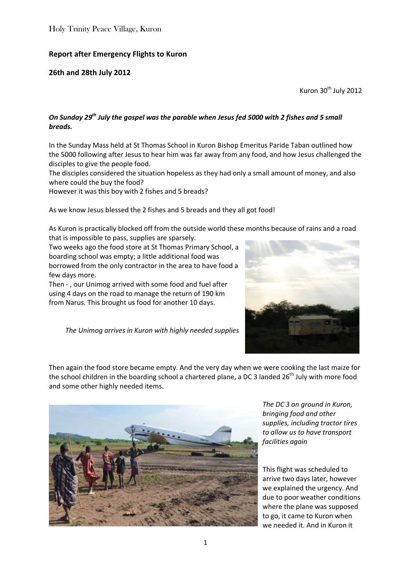## **Report after Emergency Flights to Kuron**

## **26th and 28th July 2012**

Kuron 30<sup>th</sup> July 2012

## *On Sunday 29th July the gospel was the parable when Jesus fed 5000 with 2 fishes and 5 small breads.*

In the Sunday Mass held at St Thomas School in Kuron Bishop Emeritus Paride Taban outlined how the 5000 following after Jesus to hear him was far away from any food, and how Jesus challenged the disciples to give the people food.

The disciples considered the situation hopeless as they had only a small amount of money, and also where could the buy the food?

However it was this boy with 2 fishes and 5 breads?

As we know Jesus blessed the 2 fishes and 5 breads and they all got food!

As Kuron is practically blocked off from the outside world these months because of rains and a road that is impossible to pass, supplies are sparsely.

Two weeks ago the food store at St Thomas Primary School, a boarding school was empty; a little additional food was borrowed from the only contractor in the area to have food a few days more.

Then - , our Unimog arrived with some food and fuel after using 4 days on the road to manage the return of 190 km from Narus. This brought us food for another 10 days.

*The Unimog arrives in Kuron with highly needed supplies*



Then again the food store became empty. And the very day when we were cooking the last maize for the school children in the boarding school a chartered plane, a DC 3 landed  $26<sup>th</sup>$  July with more food and some other highly needed items.



*The DC 3 on ground in Kuron, bringing food and other supplies, including tractor tires to allow us to have transport facilities again*

This flight was scheduled to arrive two days later, however we explained the urgency. And due to poor weather conditions where the plane was supposed to go, it came to Kuron when we needed it. And in Kuron it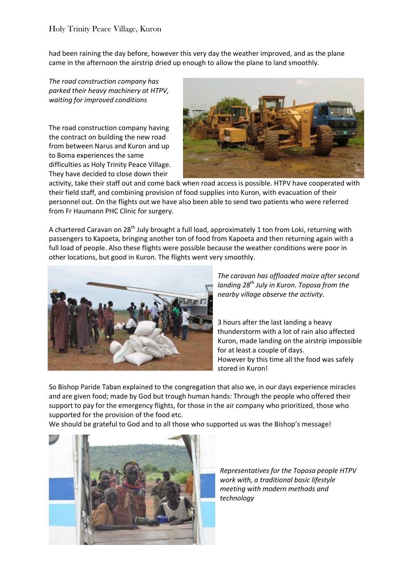had been raining the day before, however this very day the weather improved, and as the plane came in the afternoon the airstrip dried up enough to allow the plane to land smoothly.

*The road construction company has parked their heavy machinery at HTPV, waiting for improved conditions*

The road construction company having the contract on building the new road from between Narus and Kuron and up to Boma experiences the same difficulties as Holy Trinity Peace Village. They have decided to close down their



activity, take their staff out and come back when road access is possible. HTPV have cooperated with their field staff, and combining provision of food supplies into Kuron, with evacuation of their personnel out. On the flights out we have also been able to send two patients who were referred from Fr Haumann PHC Clinic for surgery.

A chartered Caravan on  $28^{th}$  July brought a full load, approximately 1 ton from Loki, returning with passengers to Kapoeta, bringing another ton of food from Kapoeta and then returning again with a full load of people. Also these flights were possible because the weather conditions were poor in other locations, but good in Kuron. The flights went very smoothly.



*The caravan has offloaded maize after second landing 28th July in Kuron. Toposa from the nearby village observe the activity.*

3 hours after the last landing a heavy thunderstorm with a lot of rain also affected Kuron, made landing on the airstrip impossible for at least a couple of days. However by this time all the food was safely stored in Kuron!

So Bishop Paride Taban explained to the congregation that also we, in our days experience miracles and are given food; made by God but trough human hands: Through the people who offered their support to pay for the emergency flights, for those in the air company who prioritized, those who supported for the provision of the food etc.

We should be grateful to God and to all those who supported us was the Bishop's message!



*Representatives for the Toposa people HTPV work with, a traditional basic lifestyle meeting with modern methods and technology*